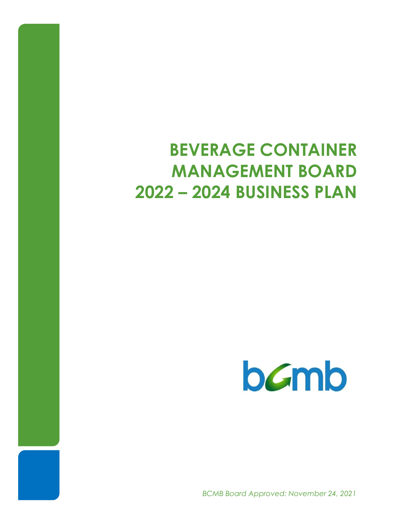## **BEVERAGE CONTAINER MANAGEMENT BOARD 2022 – 2024 BUSINESS PLAN**

# **b***C*mb

*BCMB Board Approved: November 24, 2021*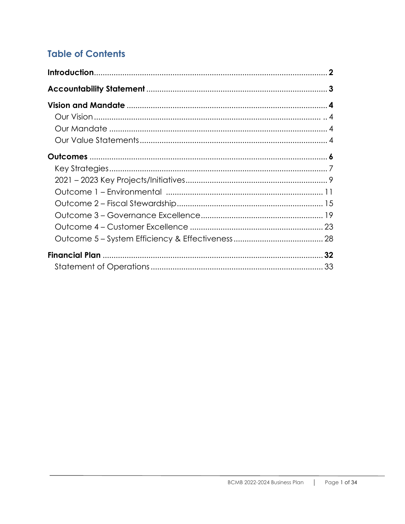## **Table of Contents**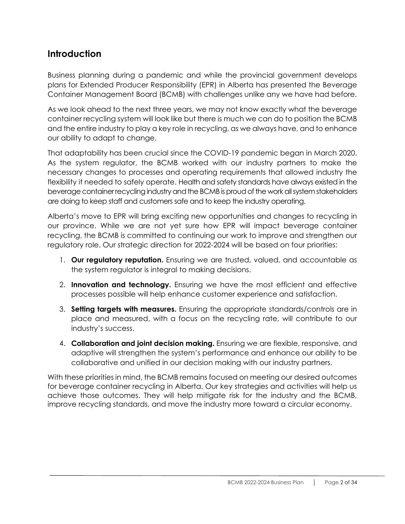### **Introduction**

Business planning during a pandemic and while the provincial government develops plans for Extended Producer Responsibility (EPR) in Alberta has presented the Beverage Container Management Board (BCMB) with challenges unlike any we have had before.

As we look ahead to the next three years, we may not know exactly what the beverage container recycling system will look like but there is much we can do to position the BCMB and the entire industry to play a key role in recycling, as we always have, and to enhance our ability to adapt to change.

That adaptability has been crucial since the COVID-19 pandemic began in March 2020. As the system regulator, the BCMB worked with our industry partners to make the necessary changes to processes and operating requirements that allowed industry the flexibility it needed to safely operate. Health and safety standards have always existed in the beverage container recycling industry and the BCMB is proud of the work all system stakeholders are doing to keep staff and customers safe and to keep the industry operating.

Alberta's move to EPR will bring exciting new opportunities and changes to recycling in our province. While we are not yet sure how EPR will impact beverage container recycling, the BCMB is committed to continuing our work to improve and strengthen our regulatory role. Our strategic direction for 2022-2024 will be based on four priorities:

- 1. **Our regulatory reputation.** Ensuring we are trusted, valued, and accountable as the system regulator is integral to making decisions.
- 2. **Innovation and technology.** Ensuring we have the most efficient and effective processes possible will help enhance customer experience and satisfaction.
- 3. **Setting targets with measures.** Ensuring the appropriate standards/controls are in place and measured, with a focus on the recycling rate, will contribute to our industry's success.
- 4. **Collaboration and joint decision making.** Ensuring we are flexible, responsive, and adaptive will strengthen the system's performance and enhance our ability to be collaborative and unified in our decision making with our industry partners.

With these priorities in mind, the BCMB remains focused on meeting our desired outcomes for beverage container recycling in Alberta. Our key strategies and activities will help us achieve those outcomes. They will help mitigate risk for the industry and the BCMB, improve recycling standards, and move the industry more toward a circular economy.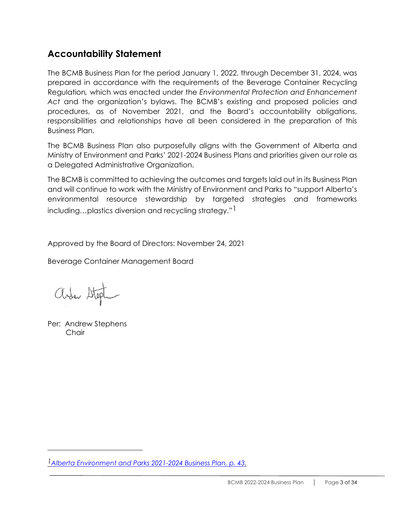## **Accountability Statement**

The BCMB Business Plan for the period January 1, 2022, through December 31, 2024, was prepared in accordance with the requirements of the Beverage Container Recycling Regulation*,* which was enacted under the *Environmental Protection and Enhancement Act* and the organization's bylaws. The BCMB's existing and proposed policies and procedures, as of November 2021, and the Board's accountability obligations, responsibilities and relationships have all been considered in the preparation of this Business Plan.

The BCMB Business Plan also purposefully aligns with the Government of Alberta and Ministry of Environment and Parks' 2021-2024 Business Plans and priorities given our role as a Delegated Administrative Organization.

The BCMB is committed to achieving the outcomes and targets laid out in its Business Plan and will continue to work with the Ministry of Environment and Parks to "support Alberta's environmental resource stewardship by targeted strategies and frameworks including...plastics diversion and recycling strategy."<sup>1</sup>

Approved by the Board of Directors: November 24, 2021

Beverage Container Management Board

arden Stept

Per: Andrew Stephens **Chair** 

*[<sup>1</sup>Alberta Environment and Parks 2021-2024](https://open.alberta.ca/dataset/503f5c97-1fc9-4d72-b1ab-f32eafd9dd7f/resource/4fd1713a-691f-4160-9c9a-36654f123e60/download/aep-environment-and-parks-business-plan-2021-2024.pdf) Business Plan, p. 43.*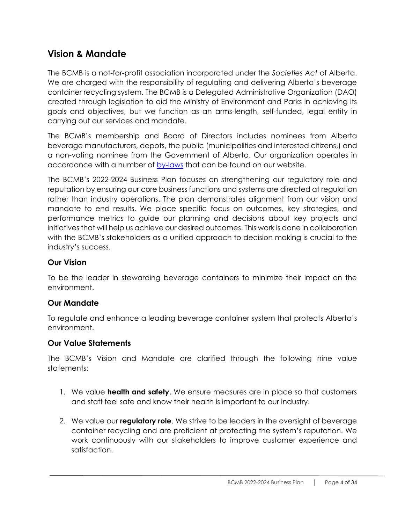## **Vision & Mandate**

The BCMB is a not-for-profit association incorporated under the *Societies Act* of Alberta. We are charged with the responsibility of regulating and delivering Alberta's beverage container recycling system. The BCMB is a Delegated Administrative Organization (DAO) created through legislation to aid the Ministry of Environment and Parks in achieving its goals and objectives, but we function as an arms-length, self-funded, legal entity in carrying out our services and mandate.

The BCMB's membership and Board of Directors includes nominees from Alberta beverage manufacturers, depots, the public (municipalities and interested citizens,) and a non-voting nominee from the Government of Alberta. Our organization operates in accordance with a number of [by-laws](https://www.bcmb.ab.ca/about/governing-documents/) that can be found on our website.

The BCMB's 2022-2024 Business Plan focuses on strengthening our regulatory role and reputation by ensuring our core business functions and systems are directed at regulation rather than industry operations. The plan demonstrates alignment from our vision and mandate to end results. We place specific focus on outcomes, key strategies, and performance metrics to guide our planning and decisions about key projects and initiatives that will help us achieve our desired outcomes. This work is done in collaboration with the BCMB's stakeholders as a unified approach to decision making is crucial to the industry's success.

#### **Our Vision**

To be the leader in stewarding beverage containers to minimize their impact on the environment.

#### **Our Mandate**

To regulate and enhance a leading beverage container system that protects Alberta's environment.

#### **Our Value Statements**

The BCMB's Vision and Mandate are clarified through the following nine value statements:

- 1. We value **health and safety**. We ensure measures are in place so that customers and staff feel safe and know their health is important to our industry.
- 2. We value our **regulatory role**. We strive to be leaders in the oversight of beverage container recycling and are proficient at protecting the system's reputation. We work continuously with our stakeholders to improve customer experience and satisfaction.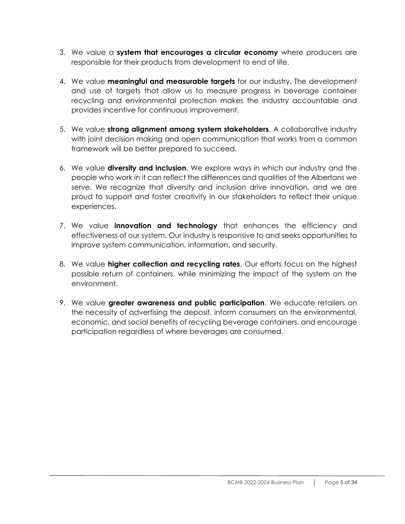- 3. We value a **system that encourages a circular economy** where producers are responsible for their products from development to end of life.
- 4. We value **meaningful and measurable targets** for our industry. The development and use of targets that allow us to measure progress in beverage container recycling and environmental protection makes the industry accountable and provides incentive for continuous improvement.
- 5. We value **strong alignment among system stakeholders**. A collaborative industry with joint decision making and open communication that works from a common framework will be better prepared to succeed.
- 6. We value **diversity and inclusion**. We explore ways in which our industry and the people who work in it can reflect the differences and qualities of the Albertans we serve. We recognize that diversity and inclusion drive innovation, and we are proud to support and foster creativity in our stakeholders to reflect their unique experiences.
- 7. We value **innovation and technology** that enhances the efficiency and effectiveness of our system. Our industry is responsive to and seeks opportunities to improve system communication, information, and security.
- 8. We value **higher collection and recycling rates**. Our efforts focus on the highest possible return of containers, while minimizing the impact of the system on the environment.
- 9. We value **greater awareness and public participation**. We educate retailers on the necessity of advertising the deposit, inform consumers on the environmental, economic, and social benefits of recycling beverage containers, and encourage participation regardless of where beverages are consumed.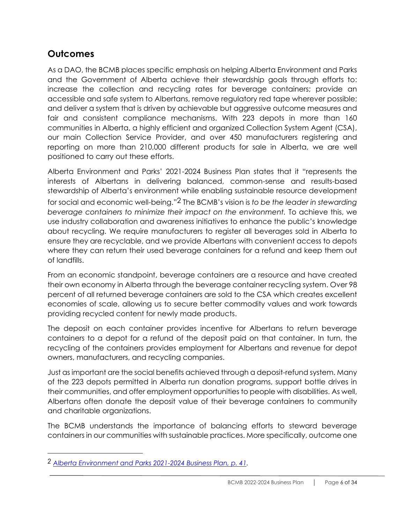## **Outcomes**

As a DAO, the BCMB places specific emphasis on helping Alberta Environment and Parks and the Government of Alberta achieve their stewardship goals through efforts to: increase the collection and recycling rates for beverage containers; provide an accessible and safe system to Albertans, remove regulatory red tape wherever possible; and deliver a system that is driven by achievable but aggressive outcome measures and fair and consistent compliance mechanisms. With 223 depots in more than 160 communities in Alberta, a highly efficient and organized Collection System Agent (CSA), our main Collection Service Provider, and over 450 manufacturers registering and reporting on more than 210,000 different products for sale in Alberta, we are well positioned to carry out these efforts.

Alberta Environment and Parks' 2021-2024 Business Plan states that it "represents the interests of Albertans in delivering balanced, common-sense and results-based stewardship of Alberta's environment while enabling sustainable resource development for social and economic well-being."2 The BCMB's vision is *to be the leader in stewarding beverage containers to minimize their impact on the environment.* To achieve this, we use industry collaboration and awareness initiatives to enhance the public's knowledge about recycling. We require manufacturers to register all beverages sold in Alberta to ensure they are recyclable, and we provide Albertans with convenient access to depots where they can return their used beverage containers for a refund and keep them out of landfills.

From an economic standpoint, beverage containers are a resource and have created their own economy in Alberta through the beverage container recycling system. Over 98 percent of all returned beverage containers are sold to the CSA which creates excellent economies of scale, allowing us to secure better commodity values and work towards providing recycled content for newly made products.

The deposit on each container provides incentive for Albertans to return beverage containers to a depot for a refund of the deposit paid on that container. In turn, the recycling of the containers provides employment for Albertans and revenue for depot owners, manufacturers, and recycling companies.

Just as important are the social benefits achieved through a deposit-refund system. Many of the 223 depots permitted in Alberta run donation programs, support bottle drives in their communities, and offer employment opportunities to people with disabilities. As well, Albertans often donate the deposit value of their beverage containers to community and charitable organizations.

The BCMB understands the importance of balancing efforts to steward beverage containers in our communities with sustainable practices. More specifically, outcome one

*<sup>2</sup> [Alberta Environment and Parks 2021-2024 Business Plan, p. 41.](https://open.alberta.ca/dataset/503f5c97-1fc9-4d72-b1ab-f32eafd9dd7f/resource/4fd1713a-691f-4160-9c9a-36654f123e60/download/aep-environment-and-parks-business-plan-2021-2024.pdf)*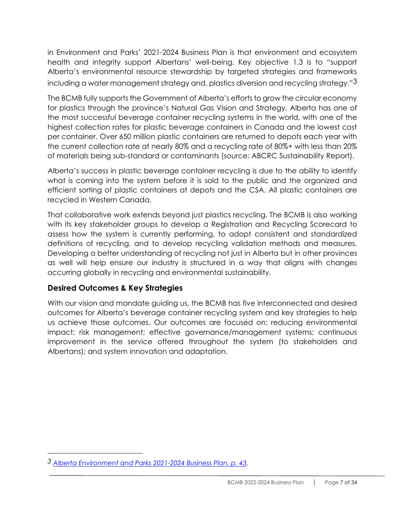in Environment and Parks' 2021-2024 Business Plan is that environment and ecosystem health and integrity support Albertans' well-being. Key objective 1.3 is to "support Alberta's environmental resource stewardship by targeted strategies and frameworks including a water management strategy and, plastics diversion and recycling strategy."3

The BCMB fully supports the Government of Alberta's efforts to grow the circular economy for plastics through the province's Natural Gas Vision and Strategy. Alberta has one of the most successful beverage container recycling systems in the world, with one of the highest collection rates for plastic beverage containers in Canada and the lowest cost per container. Over 650 million plastic containers are returned to depots each year with the current collection rate at nearly 80% and a recycling rate of 80%+ with less than 20% of materials being sub-standard or contaminants (source: ABCRC Sustainability Report).

Alberta's success in plastic beverage container recycling is due to the ability to identify what is coming into the system before it is sold to the public and the organized and efficient sorting of plastic containers at depots and the CSA. All plastic containers are recycled in Western Canada.

That collaborative work extends beyond just plastics recycling. The BCMB is also working with its key stakeholder groups to develop a Registration and Recycling Scorecard to assess how the system is currently performing, to adopt consistent and standardized definitions of recycling, and to develop recycling validation methods and measures. Developing a better understanding of recycling not just in Alberta but in other provinces as well will help ensure our industry is structured in a way that aligns with changes occurring globally in recycling and environmental sustainability.

#### **Desired Outcomes & Key Strategies**

With our vision and mandate guiding us, the BCMB has five interconnected and desired outcomes for Alberta's beverage container recycling system and key strategies to help us achieve those outcomes. Our outcomes are focused on: reducing environmental impact; risk management; effective governance/management systems; continuous improvement in the service offered throughout the system (to stakeholders and Albertans); and system innovation and adaptation.

*<sup>3</sup> [Alberta Environment and Parks 2021-2024 Business Plan, p. 43.](https://open.alberta.ca/dataset/503f5c97-1fc9-4d72-b1ab-f32eafd9dd7f/resource/4fd1713a-691f-4160-9c9a-36654f123e60/download/aep-environment-and-parks-business-plan-2021-2024.pdf)*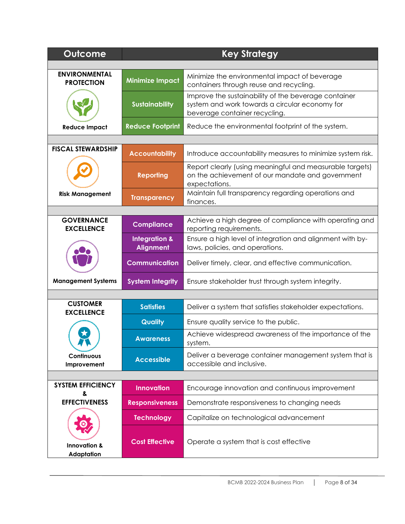| Outcome                                      |                                              | <b>Key Strategy</b>                                                                                                                     |  |  |
|----------------------------------------------|----------------------------------------------|-----------------------------------------------------------------------------------------------------------------------------------------|--|--|
|                                              |                                              |                                                                                                                                         |  |  |
| <b>ENVIRONMENTAL</b><br><b>PROTECTION</b>    | <b>Minimize Impact</b>                       | Minimize the environmental impact of beverage<br>containers through reuse and recycling.                                                |  |  |
|                                              | <b>Sustainability</b>                        | Improve the sustainability of the beverage container<br>system and work towards a circular economy for<br>beverage container recycling. |  |  |
| <b>Reduce Impact</b>                         | <b>Reduce Footprint</b>                      | Reduce the environmental footprint of the system.                                                                                       |  |  |
|                                              |                                              |                                                                                                                                         |  |  |
| <b>FISCAL STEWARDSHIP</b>                    | <b>Accountability</b>                        | Introduce accountability measures to minimize system risk.                                                                              |  |  |
|                                              | <b>Reporting</b>                             | Report clearly (using meaningful and measurable targets)<br>on the achievement of our mandate and government<br>expectations.           |  |  |
| <b>Risk Management</b>                       | <b>Transparency</b>                          | Maintain full transparency regarding operations and<br>finances.                                                                        |  |  |
|                                              |                                              |                                                                                                                                         |  |  |
| <b>GOVERNANCE</b><br><b>EXCELLENCE</b>       | <b>Compliance</b>                            | Achieve a high degree of compliance with operating and<br>reporting requirements.                                                       |  |  |
|                                              | <b>Integration &amp;</b><br><b>Alignment</b> | Ensure a high level of integration and alignment with by-<br>laws, policies, and operations.                                            |  |  |
|                                              | <b>Communication</b>                         | Deliver timely, clear, and effective communication.                                                                                     |  |  |
| <b>Management Systems</b>                    | <b>System Integrity</b>                      | Ensure stakeholder trust through system integrity.                                                                                      |  |  |
|                                              |                                              |                                                                                                                                         |  |  |
| <b>CUSTOMER</b><br><b>EXCELLENCE</b>         | <b>Satisfies</b>                             | Deliver a system that satisfies stakeholder expectations.                                                                               |  |  |
|                                              | Quality                                      | Ensure quality service to the public.                                                                                                   |  |  |
| A M                                          | <b>Awareness</b>                             | Achieve widespread awareness of the importance of the<br>system.                                                                        |  |  |
| Continuous<br>Improvement                    | <b>Accessible</b>                            | Deliver a beverage container management system that is<br>accessible and inclusive.                                                     |  |  |
|                                              |                                              |                                                                                                                                         |  |  |
| <b>SYSTEM EFFICIENCY</b><br>&                | <b>Innovation</b>                            | Encourage innovation and continuous improvement                                                                                         |  |  |
| <b>EFFECTIVENESS</b>                         | <b>Responsiveness</b>                        | Demonstrate responsiveness to changing needs                                                                                            |  |  |
|                                              | <b>Technology</b>                            | Capitalize on technological advancement                                                                                                 |  |  |
| <b>Innovation &amp;</b><br><b>Adaptation</b> | <b>Cost Effective</b>                        | Operate a system that is cost effective                                                                                                 |  |  |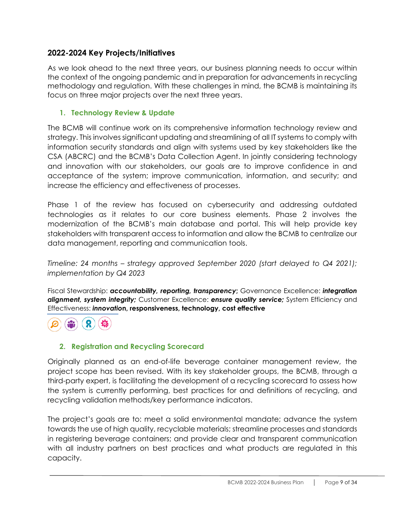#### **2022-2024 Key Projects/Initiatives**

As we look ahead to the next three years, our business planning needs to occur within the context of the ongoing pandemic and in preparation for advancements in recycling methodology and regulation. With these challenges in mind, the BCMB is maintaining its focus on three major projects over the next three years.

#### **1. Technology Review & Update**

The BCMB will continue work on its comprehensive information technology review and strategy. This involves significant updating and streamlining of all IT systems to comply with information security standards and align with systems used by key stakeholders like the CSA (ABCRC) and the BCMB's Data Collection Agent. In jointly considering technology and innovation with our stakeholders, our goals are to improve confidence in and acceptance of the system; improve communication, information, and security; and increase the efficiency and effectiveness of processes.

Phase 1 of the review has focused on cybersecurity and addressing outdated technologies as it relates to our core business elements. Phase 2 involves the modernization of the BCMB's main database and portal. This will help provide key stakeholders with transparent access to information and allow the BCMB to centralize our data management, reporting and communication tools.

*Timeline: 24 months – strategy approved September 2020 (start delayed to Q4 2021); implementation by Q4 2023*

Fiscal Stewardship: *accountability, reporting, transparency***;** Governance Excellence: *integration alignment, system integrity;* Customer Excellence: *ensure quality service;* System Efficiency and Effectiveness: *innovatio***n, responsiveness, technology, cost effective**

#### **2. Registration and Recycling Scorecard**

Originally planned as an end-of-life beverage container management review, the project scope has been revised. With its key stakeholder groups, the BCMB, through a third-party expert, is facilitating the development of a recycling scorecard to assess how the system is currently performing, best practices for and definitions of recycling, and recycling validation methods/key performance indicators.

The project's goals are to: meet a solid environmental mandate; advance the system towards the use of high quality, recyclable materials; streamline processes and standards in registering beverage containers; and provide clear and transparent communication with all industry partners on best practices and what products are regulated in this capacity.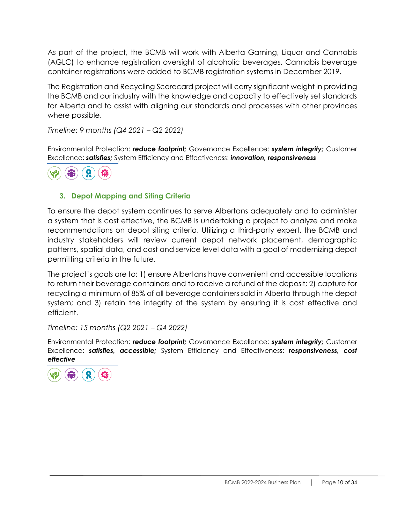As part of the project, the BCMB will work with Alberta Gaming, Liquor and Cannabis (AGLC) to enhance registration oversight of alcoholic beverages. Cannabis beverage container registrations were added to BCMB registration systems in December 2019.

The Registration and Recycling Scorecard project will carry significant weight in providing the BCMB and our industry with the knowledge and capacity to effectively set standards for Alberta and to assist with aligning our standards and processes with other provinces where possible.

*Timeline: 9 months (Q4 2021 – Q2 2022)*

Environmental Protection: *reduce footprint;* Governance Excellence: *system integrity;* Customer Excellence: *satisfies;* System Efficiency and Effectiveness: *innovation, responsiveness*



#### **3. Depot Mapping and Siting Criteria**

To ensure the depot system continues to serve Albertans adequately and to administer a system that is cost effective, the BCMB is undertaking a project to analyze and make recommendations on depot siting criteria. Utilizing a third-party expert, the BCMB and industry stakeholders will review current depot network placement, demographic patterns, spatial data, and cost and service level data with a goal of modernizing depot permitting criteria in the future.

The project's goals are to: 1) ensure Albertans have convenient and accessible locations to return their beverage containers and to receive a refund of the deposit; 2) capture for recycling a minimum of 85% of all beverage containers sold in Alberta through the depot system; and 3) retain the integrity of the system by ensuring it is cost effective and efficient.

*Timeline: 15 months (Q2 2021 – Q4 2022)*

Environmental Protection: *reduce footprint;* Governance Excellence: *system integrity;* Customer Excellence: *satisfies, accessible;* System Efficiency and Effectiveness: *responsiveness, cost effective*

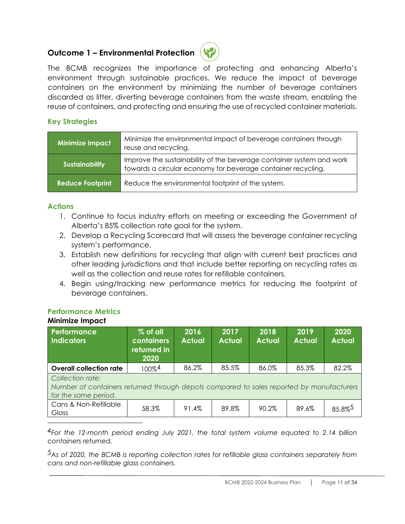#### **Outcome 1 – Environmental Protection**



The BCMB recognizes the importance of protecting and enhancing Alberta's environment through sustainable practices. We reduce the impact of beverage containers on the environment by minimizing the number of beverage containers discarded as litter, diverting beverage containers from the waste stream, enabling the reuse of containers, and protecting and ensuring the use of recycled container materials.

#### **Key Strategies**

| <b>Minimize Impact</b>  | Minimize the environmental impact of beverage containers through<br>reuse and recycling.                                             |
|-------------------------|--------------------------------------------------------------------------------------------------------------------------------------|
| <b>Sustainability</b>   | Improve the sustainability of the beverage container system and work<br>towards a circular economy for beverage container recycling. |
| <b>Reduce Footprint</b> | Reduce the environmental footprint of the system.                                                                                    |

#### **Actions**

- 1. Continue to focus industry efforts on meeting or exceeding the Government of Alberta's 85% collection rate goal for the system.
- 2. Develop a Recycling Scorecard that will assess the beverage container recycling system's performance.
- 3. Establish new definitions for recycling that align with current best practices and other leading jurisdictions and that include better reporting on recycling rates as well as the collection and reuse rates for refillable containers.
- 4. Begin using/tracking new performance metrics for reducing the footprint of beverage containers.

#### **Performance Metrics Minimize Impact**

| Performance<br><b>Indicators</b>                                                                                                     | % of all<br><b>containers</b><br>returned in<br>2020 | 2016<br><b>Actual</b> | 2017<br><b>Actual</b> | 2018<br><b>Actual</b> | 2019<br><b>Actual</b> | 2020<br><b>Actual</b> |
|--------------------------------------------------------------------------------------------------------------------------------------|------------------------------------------------------|-----------------------|-----------------------|-----------------------|-----------------------|-----------------------|
| <b>Overall collection rate</b>                                                                                                       | $100\%$ <sup>4</sup>                                 | 86.2%                 | 85.5%                 | 86.0%                 | 85.3%                 | 82.2%                 |
| Collection rate:<br>Number of containers returned through depots compared to sales reported by manufacturers<br>for the same period. |                                                      |                       |                       |                       |                       |                       |
| Cans & Non-Refillable<br>Glass                                                                                                       | 58.3%                                                | 91.4%                 | 89.8%                 | 90.2%                 | 89.6%                 | 85.8%5                |

*4For the 12-month period ending July 2021, the total system volume equated to 2.14 billion containers returned.*

*5As of 2020, the BCMB is reporting collection rates for refillable glass containers separately from cans and non-refillable glass containers.*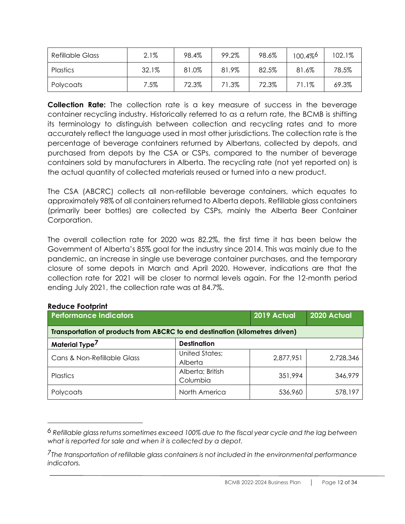| <b>Refillable Glass</b> | 2.1%    | 98.4% | 99.2% | 98.6% | 100.4% | 102.1% |
|-------------------------|---------|-------|-------|-------|--------|--------|
| <b>Plastics</b>         | 32.1%   | 81.0% | 81.9% | 82.5% | 81.6%  | 78.5%  |
| Polycoats               | $7.5\%$ | 72.3% | 71.3% | 72.3% | 71.1%  | 69.3%  |

**Collection Rate:** The collection rate is a key measure of success in the beverage container recycling industry. Historically referred to as a return rate, the BCMB is shifting its terminology to distinguish between collection and recycling rates and to more accurately reflect the language used in most other jurisdictions. The collection rate is the percentage of beverage containers returned by Albertans, collected by depots, and purchased from depots by the CSA or CSPs, compared to the number of beverage containers sold by manufacturers in Alberta. The recycling rate (not yet reported on) is the actual quantity of collected materials reused or turned into a new product.

The CSA (ABCRC) collects all non-refillable beverage containers, which equates to approximately 98% of all containers returned to Alberta depots. Refillable glass containers (primarily beer bottles) are collected by CSPs, mainly the Alberta Beer Container Corporation.

The overall collection rate for 2020 was 82.2%, the first time it has been below the Government of Alberta's 85% goal for the industry since 2014. This was mainly due to the pandemic, an increase in single use beverage container purchases, and the temporary closure of some depots in March and April 2020. However, indications are that the collection rate for 2021 will be closer to normal levels again. For the 12-month period ending July 2021, the collection rate was at 84.7%.

| <b>Performance Indicators</b>                                                |                                  | 2019 Actual | 2020 Actual |
|------------------------------------------------------------------------------|----------------------------------|-------------|-------------|
| Transportation of products from ABCRC to end destination (kilometres driven) |                                  |             |             |
| Material Type <sup>7</sup>                                                   | <b>Destination</b>               |             |             |
| Cans & Non-Refillable Glass                                                  | <b>United States;</b><br>Alberta | 2,877,951   | 2,728,346   |
| <b>Plastics</b>                                                              | Alberta; British<br>Columbia     | 351,994     | 346,979     |
| Polycoats                                                                    | North America                    | 536,960     | 578,197     |

#### **Reduce Footprint**

*<sup>6</sup> Refillable glass returns sometimes exceed 100% due to the fiscal year cycle and the lag between what is reported for sale and when it is collected by a depot.*

*<sup>7</sup>The transportation of refillable glass containers is not included in the environmental performance indicators.*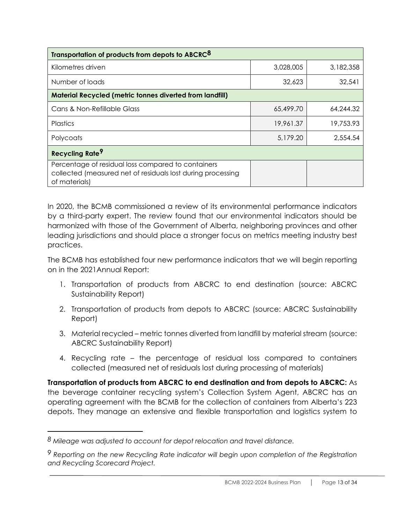| Transportation of products from depots to ABCRC <sup>8</sup>                                                                       |           |           |
|------------------------------------------------------------------------------------------------------------------------------------|-----------|-----------|
| Kilometres driven                                                                                                                  | 3,028,005 | 3,182,358 |
| Number of loads                                                                                                                    | 32,623    | 32,541    |
| <b>Material Recycled (metric tonnes diverted from landfill)</b>                                                                    |           |           |
| Cans & Non-Refillable Glass                                                                                                        | 65,499.70 | 64,244.32 |
| Plastics                                                                                                                           | 19,961.37 | 19,753.93 |
| Polycoats                                                                                                                          | 5,179.20  | 2,554.54  |
| Recycling Rate <sup>9</sup>                                                                                                        |           |           |
| Percentage of residual loss compared to containers<br>collected (measured net of residuals lost during processing<br>of materials) |           |           |

In 2020, the BCMB commissioned a review of its environmental performance indicators by a third-party expert. The review found that our environmental indicators should be harmonized with those of the Government of Alberta, neighboring provinces and other leading jurisdictions and should place a stronger focus on metrics meeting industry best practices.

The BCMB has established four new performance indicators that we will begin reporting on in the 2021Annual Report:

- 1. Transportation of products from ABCRC to end destination (source: ABCRC Sustainability Report)
- 2. Transportation of products from depots to ABCRC (source: ABCRC Sustainability Report)
- 3. Material recycled metric tonnes diverted from landfill by material stream (source: ABCRC Sustainability Report)
- 4. Recycling rate the percentage of residual loss compared to containers collected (measured net of residuals lost during processing of materials)

**Transportation of products from ABCRC to end destination and from depots to ABCRC:** As the beverage container recycling system's Collection System Agent, ABCRC has an operating agreement with the BCMB for the collection of containers from Alberta's 223 depots. They manage an extensive and flexible transportation and logistics system to

*<sup>8</sup> Mileage was adjusted to account for depot relocation and travel distance.*

*<sup>9</sup> Reporting on the new Recycling Rate indicator will begin upon completion of the Registration and Recycling Scorecard Project.*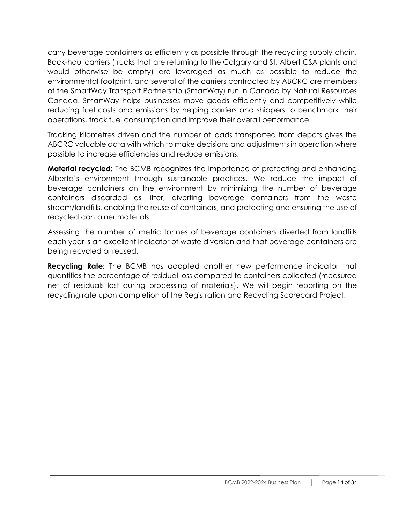carry beverage containers as efficiently as possible through the recycling supply chain. Back-haul carriers (trucks that are returning to the Calgary and St. Albert CSA plants and would otherwise be empty) are leveraged as much as possible to reduce the environmental footprint, and several of the carriers contracted by ABCRC are members of the SmartWay Transport Partnership (SmartWay) run in Canada by Natural Resources Canada. SmartWay helps businesses move goods efficiently and competitively while reducing fuel costs and emissions by helping carriers and shippers to benchmark their operations, track fuel consumption and improve their overall performance.

Tracking kilometres driven and the number of loads transported from depots gives the ABCRC valuable data with which to make decisions and adjustments in operation where possible to increase efficiencies and reduce emissions.

**Material recycled:** The BCMB recognizes the importance of protecting and enhancing Alberta's environment through sustainable practices. We reduce the impact of beverage containers on the environment by minimizing the number of beverage containers discarded as litter, diverting beverage containers from the waste stream/landfills, enabling the reuse of containers, and protecting and ensuring the use of recycled container materials.

Assessing the number of metric tonnes of beverage containers diverted from landfills each year is an excellent indicator of waste diversion and that beverage containers are being recycled or reused.

**Recycling Rate:** The BCMB has adopted another new performance indicator that quantifies the percentage of residual loss compared to containers collected (measured net of residuals lost during processing of materials). We will begin reporting on the recycling rate upon completion of the Registration and Recycling Scorecard Project.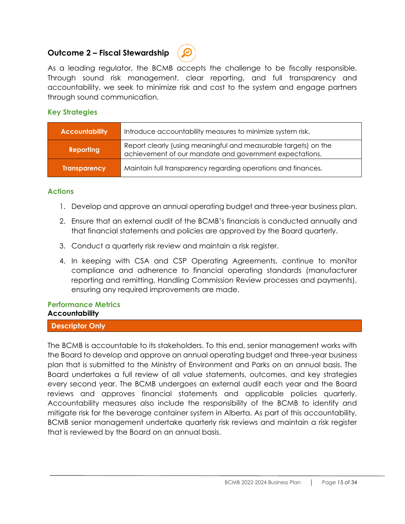#### **Outcome 2 – Fiscal Stewardship**



As a leading regulator, the BCMB accepts the challenge to be fiscally responsible. Through sound risk management, clear reporting, and full transparency and accountability, we seek to minimize risk and cost to the system and engage partners through sound communication.

#### **Key Strategies**

| <b>Accountability</b> | Introduce accountability measures to minimize system risk.                                                                 |
|-----------------------|----------------------------------------------------------------------------------------------------------------------------|
| <b>Reporting</b>      | Report clearly (using meaningful and measurable targets) on the<br>achievement of our mandate and government expectations. |
| <b>Transparency</b>   | Maintain full transparency regarding operations and finances.                                                              |

#### **Actions**

- 1. Develop and approve an annual operating budget and three-year business plan.
- 2. Ensure that an external audit of the BCMB's financials is conducted annually and that financial statements and policies are approved by the Board quarterly.
- 3. Conduct a quarterly risk review and maintain a risk register.
- 4. In keeping with CSA and CSP Operating Agreements, continue to monitor compliance and adherence to financial operating standards (manufacturer reporting and remitting, Handling Commission Review processes and payments), ensuring any required improvements are made.

#### **Performance Metrics Accountability**

#### **Descriptor Only**

The BCMB is accountable to its stakeholders. To this end, senior management works with the Board to develop and approve an annual operating budget and three-year business plan that is submitted to the Ministry of Environment and Parks on an annual basis. The Board undertakes a full review of all value statements, outcomes, and key strategies every second year. The BCMB undergoes an external audit each year and the Board reviews and approves financial statements and applicable policies quarterly. Accountability measures also include the responsibility of the BCMB to identify and mitigate risk for the beverage container system in Alberta. As part of this accountability, BCMB senior management undertake quarterly risk reviews and maintain a risk register that is reviewed by the Board on an annual basis.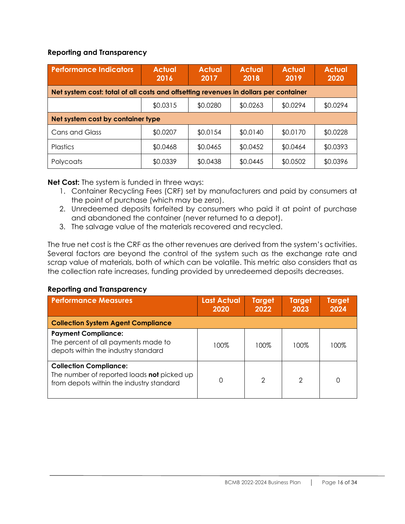#### **Reporting and Transparency**

| <b>Performance Indicators</b>                                                        | <b>Actual</b><br>2016 | <b>Actual</b><br>2017 | <b>Actual</b><br>2018 | <b>Actual</b><br>2019 | <b>Actual</b><br>2020 |
|--------------------------------------------------------------------------------------|-----------------------|-----------------------|-----------------------|-----------------------|-----------------------|
| Net system cost: total of all costs and offsetting revenues in dollars per container |                       |                       |                       |                       |                       |
|                                                                                      | \$0.0315              | \$0.0280              | \$0.0263              | \$0.0294              | \$0.0294              |
| Net system cost by container type                                                    |                       |                       |                       |                       |                       |
| <b>Cans and Glass</b>                                                                | \$0.0207              | \$0.0154              | \$0.0140              | \$0.0170              | \$0.0228              |
| <b>Plastics</b>                                                                      | \$0.0468              | \$0.0465              | \$0.0452              | \$0.0464              | \$0.0393              |
| Polycoats                                                                            | \$0.0339              | \$0.0438              | \$0.0445              | \$0.0502              | \$0.0396              |

**Net Cost:** The system is funded in three ways:

- 1. Container Recycling Fees (CRF) set by manufacturers and paid by consumers at the point of purchase (which may be zero).
- 2. Unredeemed deposits forfeited by consumers who paid it at point of purchase and abandoned the container (never returned to a depot).
- 3. The salvage value of the materials recovered and recycled.

The true net cost is the CRF as the other revenues are derived from the system's activities. Several factors are beyond the control of the system such as the exchange rate and scrap value of materials, both of which can be volatile. This metric also considers that as the collection rate increases, funding provided by unredeemed deposits decreases.

#### **Reporting and Transparency**

| <b>Performance Measures</b>                                                                                             | <b>Last Actual</b><br>2020 | <b>Target</b><br>2022 | <b>Target</b><br>2023 | <b>Target</b><br>2024 |
|-------------------------------------------------------------------------------------------------------------------------|----------------------------|-----------------------|-----------------------|-----------------------|
| <b>Collection System Agent Compliance</b>                                                                               |                            |                       |                       |                       |
| <b>Payment Compliance:</b><br>The percent of all payments made to<br>depots within the industry standard                | 100%                       | 100%                  | 100%                  | 100%                  |
| <b>Collection Compliance:</b><br>The number of reported loads not picked up<br>from depots within the industry standard |                            | $\mathcal{P}$         | 2                     |                       |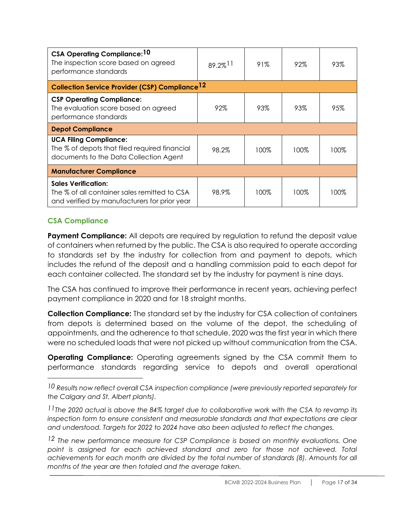| CSA Operating Compliance: 10<br>The inspection score based on agreed<br>performance standards                              | $89.2\%$ <sup>11</sup> | 91%  | 92%  | 93%  |
|----------------------------------------------------------------------------------------------------------------------------|------------------------|------|------|------|
| <b>Collection Service Provider (CSP) Compliance 12</b>                                                                     |                        |      |      |      |
| <b>CSP Operating Compliance:</b><br>The evaluation score based on agreed<br>performance standards                          | 92%                    | 93%  | 93%  | 95%  |
| <b>Depot Compliance</b>                                                                                                    |                        |      |      |      |
| <b>UCA Filing Compliance:</b><br>The % of depots that filed required financial<br>documents to the Data Collection Agent   | 98.2%                  | 100% | 100% | 100% |
| <b>Manufacturer Compliance</b>                                                                                             |                        |      |      |      |
| <b>Sales Verification:</b><br>The % of all container sales remitted to CSA<br>and verified by manufacturers for prior year | 98.9%                  | 100% | 100% | 100% |

#### **CSA Compliance**

**Payment Compliance:** All depots are required by regulation to refund the deposit value of containers when returned by the public. The CSA is also required to operate according to standards set by the industry for collection from and payment to depots, which includes the refund of the deposit and a handling commission paid to each depot for each container collected. The standard set by the industry for payment is nine days.

The CSA has continued to improve their performance in recent years, achieving perfect payment compliance in 2020 and for 18 straight months.

**Collection Compliance:** The standard set by the industry for CSA collection of containers from depots is determined based on the volume of the depot, the scheduling of appointments, and the adherence to that schedule. 2020 was the first year in which there were no scheduled loads that were not picked up without communication from the CSA.

**Operating Compliance:** Operating agreements signed by the CSA commit them to performance standards regarding service to depots and overall operational

*<sup>10</sup> Results now reflect overall CSA inspection compliance (were previously reported separately for the Calgary and St. Albert plants).*

*<sup>11</sup>The 2020 actual is above the 84% target due to collaborative work with the CSA to revamp its inspection form to ensure consistent and measurable standards and that expectations are clear and understood. Targets for 2022 to 2024 have also been adjusted to reflect the changes.* 

*<sup>12</sup> The new performance measure for CSP Compliance is based on monthly evaluations. One point is assigned for each achieved standard and zero for those not achieved. Total achievements for each month are divided by the total number of standards (8). Amounts for all months of the year are then totaled and the average taken.*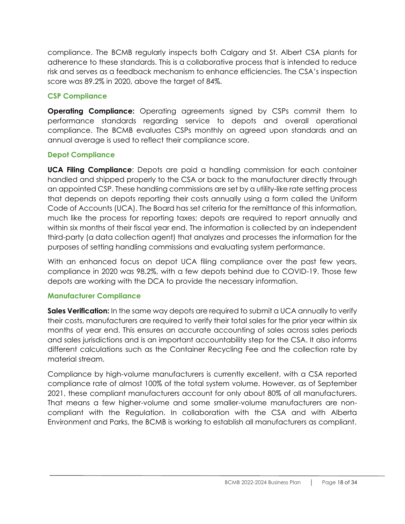compliance. The BCMB regularly inspects both Calgary and St. Albert CSA plants for adherence to these standards. This is a collaborative process that is intended to reduce risk and serves as a feedback mechanism to enhance efficiencies. The CSA's inspection score was 89.2% in 2020, above the target of 84%.

#### **CSP Compliance**

**Operating Compliance:** Operating agreements signed by CSPs commit them to performance standards regarding service to depots and overall operational compliance. The BCMB evaluates CSPs monthly on agreed upon standards and an annual average is used to reflect their compliance score.

#### **Depot Compliance**

**UCA Filing Compliance**: Depots are paid a handling commission for each container handled and shipped properly to the CSA or back to the manufacturer directly through an appointed CSP. These handling commissions are set by a utility-like rate setting process that depends on depots reporting their costs annually using a form called the Uniform Code of Accounts (UCA). The Board has set criteria for the remittance of this information, much like the process for reporting taxes; depots are required to report annually and within six months of their fiscal year end. The information is collected by an independent third-party (a data collection agent) that analyzes and processes the information for the purposes of setting handling commissions and evaluating system performance.

With an enhanced focus on depot UCA filing compliance over the past few years, compliance in 2020 was 98.2%, with a few depots behind due to COVID-19. Those few depots are working with the DCA to provide the necessary information.

#### **Manufacturer Compliance**

**Sales Verification:** In the same way depots are required to submit a UCA annually to verify their costs, manufacturers are required to verify their total sales for the prior year within six months of year end. This ensures an accurate accounting of sales across sales periods and sales jurisdictions and is an important accountability step for the CSA. It also informs different calculations such as the Container Recycling Fee and the collection rate by material stream.

Compliance by high-volume manufacturers is currently excellent, with a CSA reported compliance rate of almost 100% of the total system volume. However, as of September 2021, these compliant manufacturers account for only about 80% of all manufacturers. That means a few higher-volume and some smaller-volume manufacturers are noncompliant with the Regulation. In collaboration with the CSA and with Alberta Environment and Parks, the BCMB is working to establish all manufacturers as compliant.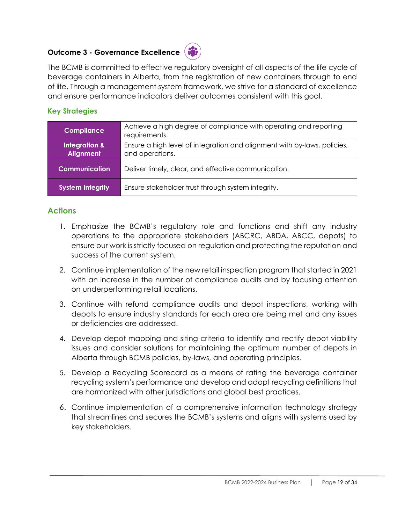## **Outcome 3 - Governance Excellence**



The BCMB is committed to effective regulatory oversight of all aspects of the life cycle of beverage containers in Alberta, from the registration of new containers through to end of life. Through a management system framework, we strive for a standard of excellence and ensure performance indicators deliver outcomes consistent with this goal.

#### **Key Strategies**

| <b>Compliance</b>                            | Achieve a high degree of compliance with operating and reporting<br>requirements.           |
|----------------------------------------------|---------------------------------------------------------------------------------------------|
| <b>Integration &amp;</b><br><b>Alignment</b> | Ensure a high level of integration and alignment with by-laws, policies,<br>and operations. |
| <b>Communication</b>                         | Deliver timely, clear, and effective communication.                                         |
| <b>System Integrity</b>                      | Ensure stakeholder trust through system integrity.                                          |

#### **Actions**

- 1. Emphasize the BCMB's regulatory role and functions and shift any industry operations to the appropriate stakeholders (ABCRC, ABDA, ABCC, depots) to ensure our work is strictly focused on regulation and protecting the reputation and success of the current system.
- 2. Continue implementation of the new retail inspection program that started in 2021 with an increase in the number of compliance audits and by focusing attention on underperforming retail locations.
- 3. Continue with refund compliance audits and depot inspections, working with depots to ensure industry standards for each area are being met and any issues or deficiencies are addressed.
- 4. Develop depot mapping and siting criteria to identify and rectify depot viability issues and consider solutions for maintaining the optimum number of depots in Alberta through BCMB policies, by-laws, and operating principles.
- 5. Develop a Recycling Scorecard as a means of rating the beverage container recycling system's performance and develop and adopt recycling definitions that are harmonized with other jurisdictions and global best practices.
- 6. Continue implementation of a comprehensive information technology strategy that streamlines and secures the BCMB's systems and aligns with systems used by key stakeholders.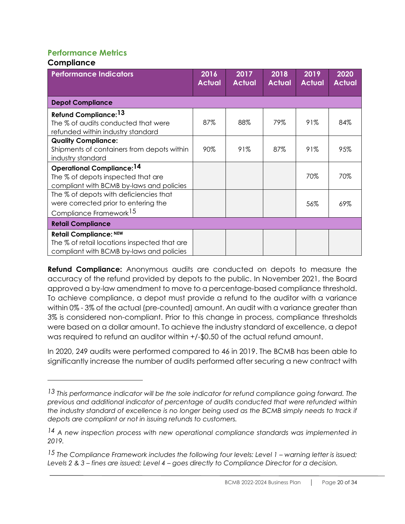#### **Performance Metrics**

#### **Compliance**

| <b>Performance Indicators</b>                                                                                             | 2016<br><b>Actual</b> | 2017<br><b>Actual</b> | 2018<br><b>Actual</b> | 2019<br><b>Actual</b> | 2020<br><b>Actual</b> |
|---------------------------------------------------------------------------------------------------------------------------|-----------------------|-----------------------|-----------------------|-----------------------|-----------------------|
| <b>Depot Compliance</b>                                                                                                   |                       |                       |                       |                       |                       |
| <b>Refund Compliance: 13</b><br>The % of audits conducted that were<br>refunded within industry standard                  | 87%                   | 88%                   | 79%                   | 91%                   | 84%                   |
| <b>Quality Compliance:</b><br>Shipments of containers from depots within<br>industry standard                             | 90%                   | 91%                   | 87%                   | 91%                   | 95%                   |
| <b>Operational Compliance: 14</b><br>The % of depots inspected that are<br>compliant with BCMB by-laws and policies       |                       |                       |                       | 70%                   | 70%                   |
| The % of depots with deficiencies that<br>were corrected prior to entering the<br>Compliance Framework <sup>15</sup>      |                       |                       |                       | 56%                   | 69%                   |
| <b>Retail Compliance</b>                                                                                                  |                       |                       |                       |                       |                       |
| <b>Retail Compliance: NEW</b><br>The % of retail locations inspected that are<br>compliant with BCMB by-laws and policies |                       |                       |                       |                       |                       |

**Refund Compliance:** Anonymous audits are conducted on depots to measure the accuracy of the refund provided by depots to the public. In November 2021, the Board approved a by-law amendment to move to a percentage-based compliance threshold. To achieve compliance, a depot must provide a refund to the auditor with a variance within 0% - 3% of the actual (pre-counted) amount. An audit with a variance greater than 3% is considered non-compliant. Prior to this change in process, compliance thresholds were based on a dollar amount. To achieve the industry standard of excellence, a depot was required to refund an auditor within +/-\$0.50 of the actual refund amount.

In 2020, 249 audits were performed compared to 46 in 2019. The BCMB has been able to significantly increase the number of audits performed after securing a new contract with

*<sup>13</sup> This performance indicator will be the sole indicator for refund compliance going forward. The previous and additional indicator of percentage of audits conducted that were refunded within*  the industry standard of excellence is no longer being used as the BCMB simply needs to track if *depots are compliant or not in issuing refunds to customers.*

*<sup>14</sup> A new inspection process with new operational compliance standards was implemented in 2019.*

<sup>15</sup> The Compliance Framework includes the following four levels: Level 1 – warning letter is issued; *Levels 2 & 3 – fines are issued; Level 4 – goes directly to Compliance Director for a decision.*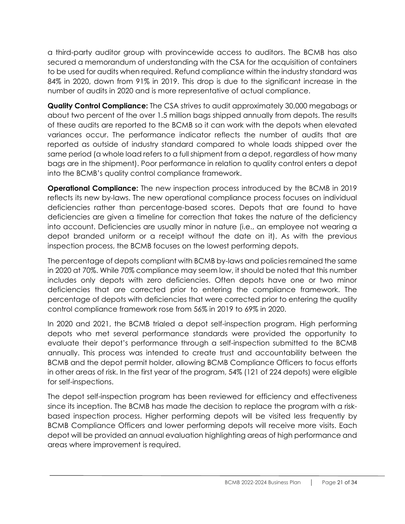a third-party auditor group with provincewide access to auditors. The BCMB has also secured a memorandum of understanding with the CSA for the acquisition of containers to be used for audits when required. Refund compliance within the industry standard was 84% in 2020, down from 91% in 2019. This drop is due to the significant increase in the number of audits in 2020 and is more representative of actual compliance.

**Quality Control Compliance:** The CSA strives to audit approximately 30,000 megabags or about two percent of the over 1.5 million bags shipped annually from depots. The results of these audits are reported to the BCMB so it can work with the depots when elevated variances occur. The performance indicator reflects the number of audits that are reported as outside of industry standard compared to whole loads shipped over the same period (a whole load refers to a full shipment from a depot, regardless of how many bags are in the shipment). Poor performance in relation to quality control enters a depot into the BCMB's quality control compliance framework.

**Operational Compliance:** The new inspection process introduced by the BCMB in 2019 reflects its new by-laws. The new operational compliance process focuses on individual deficiencies rather than percentage-based scores. Depots that are found to have deficiencies are given a timeline for correction that takes the nature of the deficiency into account. Deficiencies are usually minor in nature (i.e., an employee not wearing a depot branded uniform or a receipt without the date on it). As with the previous inspection process, the BCMB focuses on the lowest performing depots.

The percentage of depots compliant with BCMB by-laws and policies remained the same in 2020 at 70%. While 70% compliance may seem low, it should be noted that this number includes only depots with zero deficiencies. Often depots have one or two minor deficiencies that are corrected prior to entering the compliance framework. The percentage of depots with deficiencies that were corrected prior to entering the quality control compliance framework rose from 56% in 2019 to 69% in 2020.

In 2020 and 2021, the BCMB trialed a depot self-inspection program. High performing depots who met several performance standards were provided the opportunity to evaluate their depot's performance through a self-inspection submitted to the BCMB annually. This process was intended to create trust and accountability between the BCMB and the depot permit holder, allowing BCMB Compliance Officers to focus efforts in other areas of risk. In the first year of the program, 54% (121 of 224 depots) were eligible for self-inspections.

The depot self-inspection program has been reviewed for efficiency and effectiveness since its inception. The BCMB has made the decision to replace the program with a riskbased inspection process. Higher performing depots will be visited less frequently by BCMB Compliance Officers and lower performing depots will receive more visits. Each depot will be provided an annual evaluation highlighting areas of high performance and areas where improvement is required.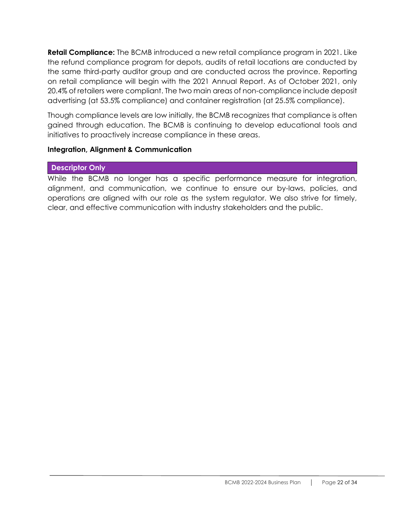**Retail Compliance:** The BCMB introduced a new retail compliance program in 2021. Like the refund compliance program for depots, audits of retail locations are conducted by the same third-party auditor group and are conducted across the province. Reporting on retail compliance will begin with the 2021 Annual Report. As of October 2021, only 20.4% of retailers were compliant. The two main areas of non-compliance include deposit advertising (at 53.5% compliance) and container registration (at 25.5% compliance).

Though compliance levels are low initially, the BCMB recognizes that compliance is often gained through education. The BCMB is continuing to develop educational tools and initiatives to proactively increase compliance in these areas.

#### **Integration, Alignment & Communication**

#### **Descriptor Only**

While the BCMB no longer has a specific performance measure for integration, alignment, and communication, we continue to ensure our by-laws, policies, and operations are aligned with our role as the system regulator. We also strive for timely, clear, and effective communication with industry stakeholders and the public.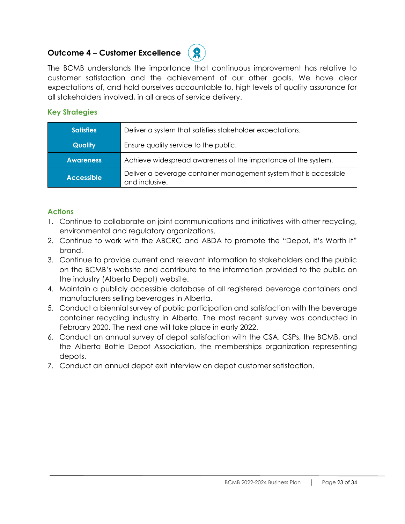#### **Outcome 4 – Customer Excellence**



The BCMB understands the importance that continuous improvement has relative to customer satisfaction and the achievement of our other goals. We have clear expectations of, and hold ourselves accountable to, high levels of quality assurance for all stakeholders involved, in all areas of service delivery.

#### **Key Strategies**

| <b>Satisfies</b>  | Deliver a system that satisfies stakeholder expectations.                           |
|-------------------|-------------------------------------------------------------------------------------|
| <b>Quality</b>    | Ensure quality service to the public.                                               |
| <b>Awareness</b>  | Achieve widespread awareness of the importance of the system.                       |
| <b>Accessible</b> | Deliver a beverage container management system that is accessible<br>and inclusive. |

#### **Actions**

- 1. Continue to collaborate on joint communications and initiatives with other recycling, environmental and regulatory organizations.
- 2. Continue to work with the ABCRC and ABDA to promote the "Depot, It's Worth It" brand.
- 3. Continue to provide current and relevant information to stakeholders and the public on the BCMB's website and contribute to the information provided to the public on the industry (Alberta Depot) website.
- 4. Maintain a publicly accessible database of all registered beverage containers and manufacturers selling beverages in Alberta.
- 5. Conduct a biennial survey of public participation and satisfaction with the beverage container recycling industry in Alberta. The most recent survey was conducted in February 2020. The next one will take place in early 2022.
- 6. Conduct an annual survey of depot satisfaction with the CSA, CSPs, the BCMB, and the Alberta Bottle Depot Association, the memberships organization representing depots.
- 7. Conduct an annual depot exit interview on depot customer satisfaction.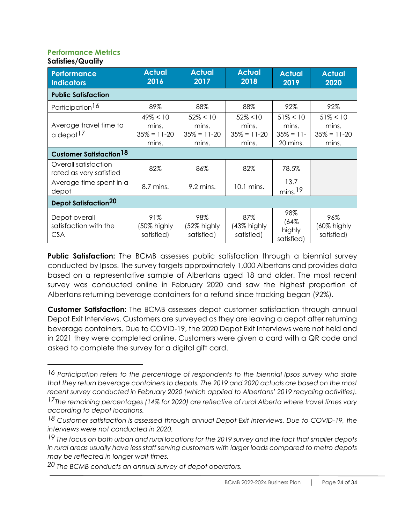#### **Performance Metrics Satisfies/Quality**

| <b>Performance</b><br><b>Indicators</b>              | <b>Actual</b><br>2016                           | <b>Actual</b><br>2017                           | <b>Actual</b><br>2018                           | <b>Actual</b><br>2019                             | <b>Actual</b><br>2020                           |
|------------------------------------------------------|-------------------------------------------------|-------------------------------------------------|-------------------------------------------------|---------------------------------------------------|-------------------------------------------------|
| <b>Public Satisfaction</b>                           |                                                 |                                                 |                                                 |                                                   |                                                 |
| Participation <sup>16</sup>                          | 89%                                             | 88%                                             | 88%                                             | 92%                                               | 92%                                             |
| Average travel time to<br>a depot <sup>17</sup>      | $49\% < 10$<br>mins.<br>$35\% = 11-20$<br>mins. | $52\% < 10$<br>mins.<br>$35\% = 11-20$<br>mins. | $52\% < 10$<br>mins.<br>$35\% = 11-20$<br>mins. | $51\% < 10$<br>mins.<br>$35\% = 11$ -<br>20 mins. | $51\% < 10$<br>mins.<br>$35\% = 11-20$<br>mins. |
| <b>Customer Satisfaction<sup>18</sup></b>            |                                                 |                                                 |                                                 |                                                   |                                                 |
| Overall satisfaction<br>rated as very satisfied      | 82%                                             | 86%                                             | 82%                                             | 78.5%                                             |                                                 |
| Average time spent in a<br>depot                     | 8.7 mins.                                       | $9.2$ mins.                                     | 10.1 mins.                                      | 13.7<br>$mins.$ <sup>19</sup>                     |                                                 |
| <b>Depot Satisfaction<sup>20</sup></b>               |                                                 |                                                 |                                                 |                                                   |                                                 |
| Depot overall<br>satisfaction with the<br><b>CSA</b> | 91%<br>(50% highly<br>satisfied)                | 98%<br>(52% highly<br>satisfied)                | 87%<br>(43% highly<br>satisfied)                | 98%<br>(64%<br>highly<br>satisfied)               | 96%<br>(60% highly<br>satisfied)                |

**Public Satisfaction:** The BCMB assesses public satisfaction through a biennial survey conducted by Ipsos. The survey targets approximately 1,000 Albertans and provides data based on a representative sample of Albertans aged 18 and older. The most recent survey was conducted online in February 2020 and saw the highest proportion of Albertans returning beverage containers for a refund since tracking began (92%).

**Customer Satisfaction:** The BCMB assesses depot customer satisfaction through annual Depot Exit Interviews. Customers are surveyed as they are leaving a depot after returning beverage containers. Due to COVID-19, the 2020 Depot Exit Interviews were not held and in 2021 they were completed online. Customers were given a card with a QR code and asked to complete the survey for a digital gift card.

*<sup>16</sup> Participation refers to the percentage of respondents to the biennial Ipsos survey who state that they return beverage containers to depots. The 2019 and 2020 actuals are based on the most recent survey conducted in February 2020 (which applied to Albertans' 2019 recycling activities).*

*<sup>17</sup>The remaining percentages (14% for 2020) are reflective of rural Alberta where travel times vary according to depot locations.*

*<sup>18</sup> Customer satisfaction is assessed through annual Depot Exit Interviews. Due to COVID-19, the interviews were not conducted in 2020.*

*<sup>19</sup> The focus on both urban and rural locations for the 2019 survey and the fact that smaller depots in rural areas usually have less staff serving customers with larger loads compared to metro depots may be reflected in longer wait times.* 

*<sup>20</sup> The BCMB conducts an annual survey of depot operators.*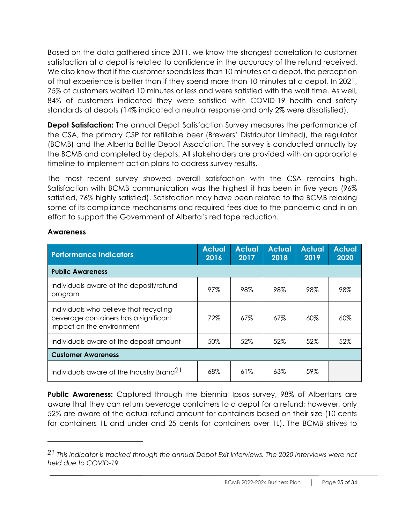Based on the data gathered since 2011, we know the strongest correlation to customer satisfaction at a depot is related to confidence in the accuracy of the refund received. We also know that if the customer spends less than 10 minutes at a depot, the perception of that experience is better than if they spend more than 10 minutes at a depot. In 2021, 75% of customers waited 10 minutes or less and were satisfied with the wait time. As well, 84% of customers indicated they were satisfied with COVID-19 health and safety standards at depots (14% indicated a neutral response and only 2% were dissatisfied).

**Depot Satisfaction:** The annual Depot Satisfaction Survey measures the performance of the CSA, the primary CSP for refillable beer (Brewers' Distributor Limited), the regulator (BCMB) and the Alberta Bottle Depot Association. The survey is conducted annually by the BCMB and completed by depots. All stakeholders are provided with an appropriate timeline to implement action plans to address survey results.

The most recent survey showed overall satisfaction with the CSA remains high. Satisfaction with BCMB communication was the highest it has been in five years (96% satisfied, 76% highly satisfied). Satisfaction may have been related to the BCMB relaxing some of its compliance mechanisms and required fees due to the pandemic and in an effort to support the Government of Alberta's red tape reduction.

| <b>Performance Indicators</b>                                                                                | <b>Actual</b><br>2016 | <b>Actual</b><br>2017 | <b>Actual</b><br>2018 | <b>Actual</b><br>2019 | <b>Actual</b><br>2020 |  |
|--------------------------------------------------------------------------------------------------------------|-----------------------|-----------------------|-----------------------|-----------------------|-----------------------|--|
| <b>Public Awareness</b>                                                                                      |                       |                       |                       |                       |                       |  |
| Individuals aware of the deposit/refund<br>program                                                           | 97%                   | 98%                   | 98%                   | 98%                   | 98%                   |  |
| Individuals who believe that recycling<br>beverage containers has a significant<br>impact on the environment | 72%                   | $67\%$                | $67\%$                | $60\%$                | $60\%$                |  |
| Individuals aware of the deposit amount                                                                      | 50%                   | 52%                   | 52%                   | 52%                   | 52%                   |  |
| <b>Customer Awareness</b>                                                                                    |                       |                       |                       |                       |                       |  |
| Individuals aware of the Industry Brand <sup>21</sup>                                                        | 68%                   | 61%                   | 63%                   | 59%                   |                       |  |

#### **Awareness**

**Public Awareness:** Captured through the biennial Ipsos survey, 98% of Albertans are aware that they can return beverage containers to a depot for a refund; however, only 52% are aware of the actual refund amount for containers based on their size (10 cents for containers 1L and under and 25 cents for containers over 1L). The BCMB strives to

*<sup>21</sup> This indicator is tracked through the annual Depot Exit Interviews. The 2020 interviews were not held due to COVID-19.*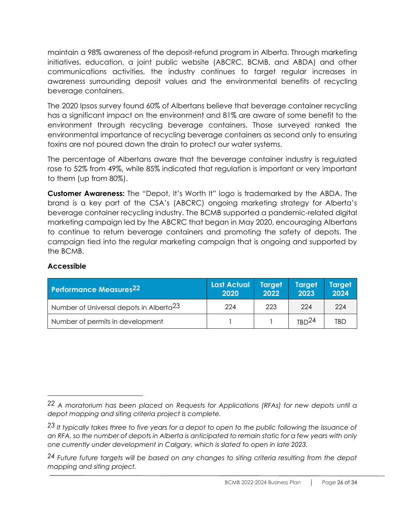maintain a 98% awareness of the deposit-refund program in Alberta. Through marketing initiatives, education, a joint public website (ABCRC, BCMB, and ABDA) and other communications activities, the industry continues to target regular increases in awareness surrounding deposit values and the environmental benefits of recycling beverage containers.

The 2020 Ipsos survey found 60% of Albertans believe that beverage container recycling has a significant impact on the environment and 81% are aware of some benefit to the environment through recycling beverage containers. Those surveyed ranked the environmental importance of recycling beverage containers as second only to ensuring toxins are not poured down the drain to protect our water systems.

The percentage of Albertans aware that the beverage container industry is regulated rose to 52% from 49%, while 85% indicated that regulation is important or very important to them (up from 80%).

**Customer Awareness:** The "Depot, It's Worth It" logo is trademarked by the ABDA. The brand is a key part of the CSA's (ABCRC) ongoing marketing strategy for Alberta's beverage container recycling industry. The BCMB supported a pandemic-related digital marketing campaign led by the ABCRC that began in May 2020, encouraging Albertans to continue to return beverage containers and promoting the safety of depots. The campaign tied into the regular marketing campaign that is ongoing and supported by the BCMB.

#### **Accessible**

| <b>Performance Measures22</b>                           | Last Actual<br>2020 | Target<br>2022 | <b>Target</b><br>2023 | <b>Target</b> '<br>2024 |
|---------------------------------------------------------|---------------------|----------------|-----------------------|-------------------------|
| $^\prime$ Number of Universal depots in Alberta $^{23}$ | 224                 | 223            | 224                   | 224                     |
| Number of permits in development                        |                     |                | TRD <sup>24</sup>     | <b>TBD</b>              |

*<sup>22</sup> A moratorium has been placed on Requests for Applications (RFAs) for new depots until a depot mapping and siting criteria project is complete.*

*<sup>23</sup> It typically takes three to five years for a depot to open to the public following the issuance of an RFA, so the number of depots in Alberta is anticipated to remain static for a few years with only one currently under development in Calgary, which is slated to open in late 2023.* 

*<sup>24</sup> Future future targets will be based on any changes to siting criteria resulting from the depot mapping and siting project.*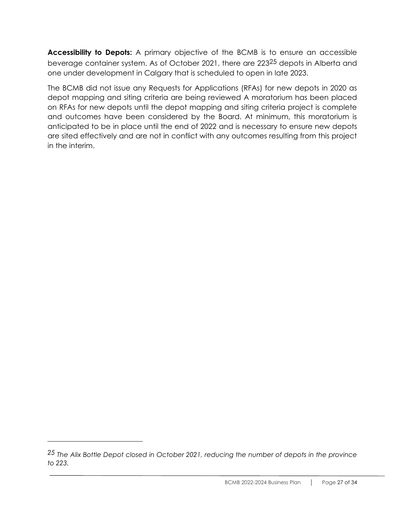**Accessibility to Depots:** A primary objective of the BCMB is to ensure an accessible beverage container system. As of October 2021, there are 22325 depots in Alberta and one under development in Calgary that is scheduled to open in late 2023.

The BCMB did not issue any Requests for Applications (RFAs) for new depots in 2020 as depot mapping and siting criteria are being reviewed A moratorium has been placed on RFAs for new depots until the depot mapping and siting criteria project is complete and outcomes have been considered by the Board. At minimum, this moratorium is anticipated to be in place until the end of 2022 and is necessary to ensure new depots are sited effectively and are not in conflict with any outcomes resulting from this project in the interim.

*<sup>25</sup> The Alix Bottle Depot closed in October 2021, reducing the number of depots in the province to 223.*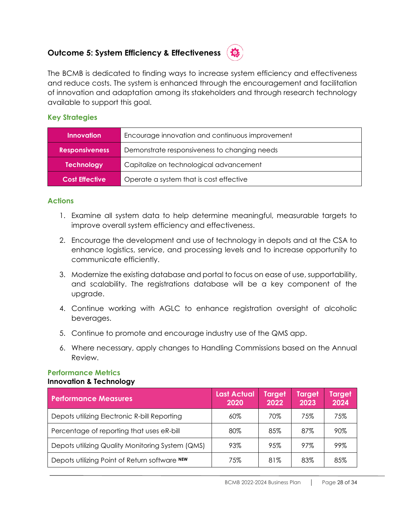#### **Outcome 5: System Efficiency & Effectiveness**



The BCMB is dedicated to finding ways to increase system efficiency and effectiveness and reduce costs. The system is enhanced through the encouragement and facilitation of innovation and adaptation among its stakeholders and through research technology available to support this goal.

#### **Key Strategies**

| Innovation            | Encourage innovation and continuous improvement |
|-----------------------|-------------------------------------------------|
| <b>Responsiveness</b> | Demonstrate responsiveness to changing needs    |
| <b>Technology</b>     | Capitalize on technological advancement         |
| <b>Cost Effective</b> | Operate a system that is cost effective         |

#### **Actions**

- 1. Examine all system data to help determine meaningful, measurable targets to improve overall system efficiency and effectiveness.
- 2. Encourage the development and use of technology in depots and at the CSA to enhance logistics, service, and processing levels and to increase opportunity to communicate efficiently.
- 3. Modernize the existing database and portal to focus on ease of use, supportability, and scalability. The registrations database will be a key component of the upgrade.
- 4. Continue working with AGLC to enhance registration oversight of alcoholic beverages.
- 5. Continue to promote and encourage industry use of the QMS app.
- 6. Where necessary, apply changes to Handling Commissions based on the Annual Review.

#### **Performance Metrics Innovation & Technology**

| <b>Performance Measures</b>                      | <b>Last Actual</b><br>2020 | <b>Target</b><br>2022 | Target<br>2023 | Target<br>2024 |
|--------------------------------------------------|----------------------------|-----------------------|----------------|----------------|
| Depots utilizing Electronic R-bill Reporting     | 60%                        | 70%                   | 75%            | 75%            |
| Percentage of reporting that uses eR-bill        | 80%                        | 85%                   | 87%            | 90%            |
| Depots utilizing Quality Monitoring System (QMS) | 93%                        | 95%                   | 97%            | 99%            |
| Depots utilizing Point of Return software NEW    | 75%                        | 81%                   | 83%            | 85%            |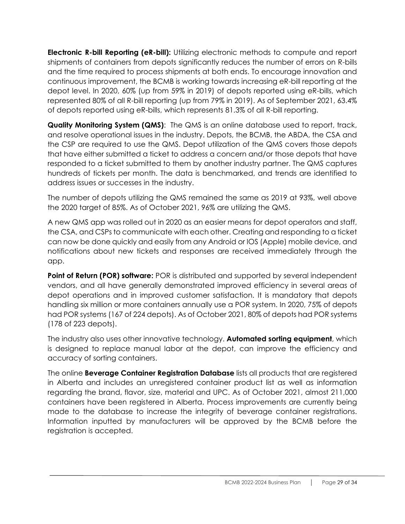**Electronic R-bill Reporting (eR-bill):** Utilizing electronic methods to compute and report shipments of containers from depots significantly reduces the number of errors on R-bills and the time required to process shipments at both ends. To encourage innovation and continuous improvement, the BCMB is working towards increasing eR-bill reporting at the depot level. In 2020, 60% (up from 59% in 2019) of depots reported using eR-bills, which represented 80% of all R-bill reporting (up from 79% in 2019). As of September 2021, 63.4% of depots reported using eR-bills, which represents 81.3% of all R-bill reporting.

**Quality Monitoring System (QMS)**: The QMS is an online database used to report, track, and resolve operational issues in the industry. Depots, the BCMB, the ABDA, the CSA and the CSP are required to use the QMS. Depot utilization of the QMS covers those depots that have either submitted a ticket to address a concern and/or those depots that have responded to a ticket submitted to them by another industry partner. The QMS captures hundreds of tickets per month. The data is benchmarked, and trends are identified to address issues or successes in the industry.

The number of depots utilizing the QMS remained the same as 2019 at 93%, well above the 2020 target of 85%. As of October 2021, 96% are utilizing the QMS.

A new QMS app was rolled out in 2020 as an easier means for depot operators and staff, the CSA, and CSPs to communicate with each other. Creating and responding to a ticket can now be done quickly and easily from any Android or IOS (Apple) mobile device, and notifications about new tickets and responses are received immediately through the app.

**Point of Return (POR) software:** POR is distributed and supported by several independent vendors, and all have generally demonstrated improved efficiency in several areas of depot operations and in improved customer satisfaction. It is mandatory that depots handling six million or more containers annually use a POR system. In 2020, 75% of depots had POR systems (167 of 224 depots). As of October 2021, 80% of depots had POR systems (178 of 223 depots).

The industry also uses other innovative technology. **Automated sorting equipment**, which is designed to replace manual labor at the depot, can improve the efficiency and accuracy of sorting containers.

The online **Beverage Container Registration Database** lists all products that are registered in Alberta and includes an unregistered container product list as well as information regarding the brand, flavor, size, material and UPC. As of October 2021, almost 211,000 containers have been registered in Alberta. Process improvements are currently being made to the database to increase the integrity of beverage container registrations. Information inputted by manufacturers will be approved by the BCMB before the registration is accepted.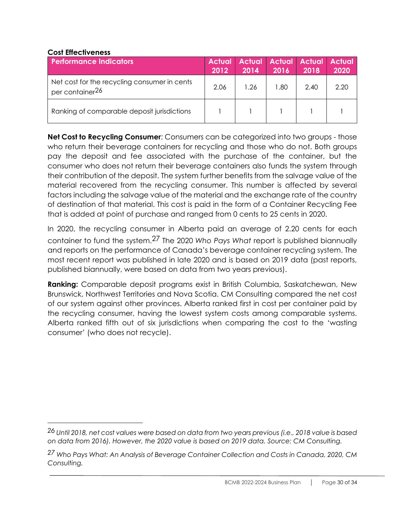#### **Cost Effectiveness**

| <b>Performance Indicators</b>                                               | <b>Actual</b><br>2012 | 2014 | 2016 | <b>Actual Actual Actual Actual</b><br>2018 | 2020 |
|-----------------------------------------------------------------------------|-----------------------|------|------|--------------------------------------------|------|
| Net cost for the recycling consumer in cents<br>per container <sup>26</sup> | 2.06                  | 1.26 | .80  | 2.40                                       | 2.20 |
| Ranking of comparable deposit jurisdictions                                 |                       |      |      |                                            |      |

**Net Cost to Recycling Consumer**: Consumers can be categorized into two groups - those who return their beverage containers for recycling and those who do not. Both groups pay the deposit and fee associated with the purchase of the container, but the consumer who does not return their beverage containers also funds the system through their contribution of the deposit. The system further benefits from the salvage value of the material recovered from the recycling consumer. This number is affected by several factors including the salvage value of the material and the exchange rate of the country of destination of that material. This cost is paid in the form of a Container Recycling Fee that is added at point of purchase and ranged from 0 cents to 25 cents in 2020.

In 2020, the recycling consumer in Alberta paid an average of 2.20 cents for each container to fund the system.27 The 2020 *Who Pays What* report is published biannually and reports on the performance of Canada's beverage container recycling system. The most recent report was published in late 2020 and is based on 2019 data (past reports, published biannually, were based on data from two years previous).

**Ranking:** Comparable deposit programs exist in British Columbia, Saskatchewan, New Brunswick, Northwest Territories and Nova Scotia. CM Consulting compared the net cost of our system against other provinces. Alberta ranked first in cost per container paid by the recycling consumer, having the lowest system costs among comparable systems. Alberta ranked fifth out of six jurisdictions when comparing the cost to the 'wasting consumer' (who does not recycle).

*<sup>26</sup> Until 2018, net cost values were based on data from two years previous (i.e., 2018 value is based on data from 2016). However, the 2020 value is based on 2019 data. Source: CM Consulting.*

*<sup>27</sup> Who Pays What: An Analysis of Beverage Container Collection and Costs in Canada, 2020, CM Consulting.*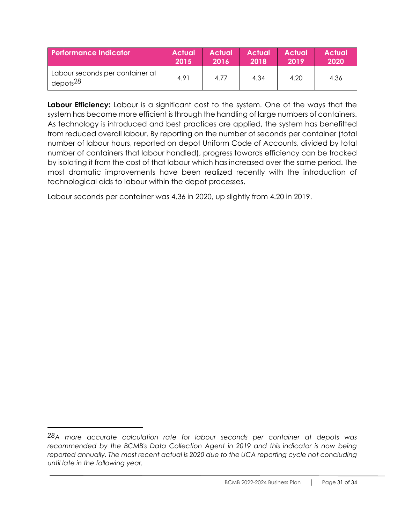| <b>Performance Indicator</b>                            | <b>Actual</b> | <b>Actual</b> | <b>Actual</b> | <b>Actual</b> | <b>Actual</b> |
|---------------------------------------------------------|---------------|---------------|---------------|---------------|---------------|
|                                                         | 2015          | 2016          | 2018          | 2019          | 2020          |
| Labour seconds per container at<br>depots <sup>28</sup> | 4.91          | 4.77          | 4.34          | 4.20          | 4.36          |

**Labour Efficiency:** Labour is a significant cost to the system. One of the ways that the system has become more efficient is through the handling of large numbers of containers. As technology is introduced and best practices are applied, the system has benefitted from reduced overall labour. By reporting on the number of seconds per container (total number of labour hours, reported on depot Uniform Code of Accounts, divided by total number of containers that labour handled), progress towards efficiency can be tracked by isolating it from the cost of that labour which has increased over the same period. The most dramatic improvements have been realized recently with the introduction of technological aids to labour within the depot processes.

Labour seconds per container was 4.36 in 2020, up slightly from 4.20 in 2019.

*<sup>28</sup>A more accurate calculation rate for labour seconds per container at depots was recommended by the BCMB's Data Collection Agent in 2019 and this indicator is now being reported annually. The most recent actual is 2020 due to the UCA reporting cycle not concluding until late in the following year.*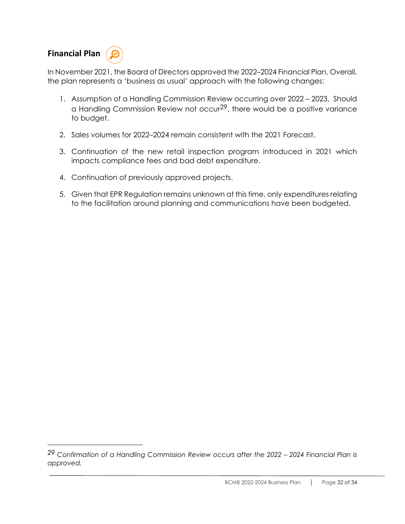## **Financial Plan**

In November 2021, the Board of Directors approved the 2022–2024 Financial Plan. Overall, the plan represents a 'business as usual' approach with the following changes:

- 1. Assumption of a Handling Commission Review occurring over 2022 2023. Should a Handling Commission Review not occur<sup>29</sup>, there would be a positive variance to budget.
- 2. Sales volumes for 2022–2024 remain consistent with the 2021 Forecast.
- 3. Continuation of the new retail inspection program introduced in 2021 which impacts compliance fees and bad debt expenditure.
- 4. Continuation of previously approved projects.
- 5. Given that EPR Regulation remains unknown at this time, only expenditures relating to the facilitation around planning and communications have been budgeted.

*<sup>29</sup> Confirmation of a Handling Commission Review occurs after the 2022 – 2024 Financial Plan is approved.*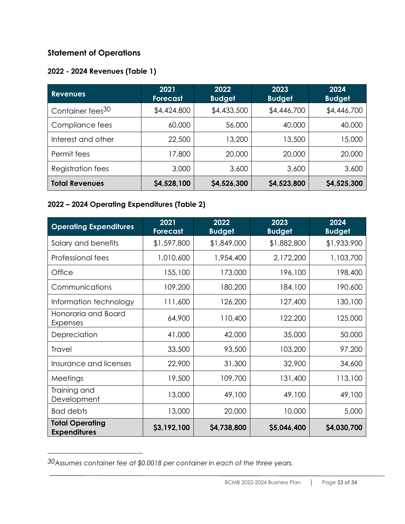#### **Statement of Operations**

## **2022 - 2024 Revenues (Table 1)**

| <b>Revenues</b>              | 2021<br><b>Forecast</b> | 2022<br><b>Budget</b> | 2023<br><b>Budget</b> | 2024<br><b>Budget</b> |
|------------------------------|-------------------------|-----------------------|-----------------------|-----------------------|
| Container fees <sup>30</sup> | \$4,424,800             | \$4,433,500           | \$4,446,700           | \$4,446,700           |
| Compliance fees              | 60,000                  | 56,000                | 40,000                | 40,000                |
| Interest and other           | 22,500                  | 13,200                | 13,500                | 15,000                |
| Permit fees                  | 17,800                  | 20,000                | 20,000                | 20,000                |
| Registration fees            | 3,000                   | 3,600                 | 3,600                 | 3,600                 |
| <b>Total Revenues</b>        | \$4,528,100             | \$4,526,300           | \$4,523,800           | \$4,525,300           |

#### **2022 – 2024 Operating Expenditures (Table 2)**

| <b>Operating Expenditures</b>                 | 2021<br><b>Forecast</b> | 2022<br><b>Budget</b> | 2023<br><b>Budget</b> | 2024<br><b>Budget</b> |
|-----------------------------------------------|-------------------------|-----------------------|-----------------------|-----------------------|
| Salary and benefits                           | \$1,597,800             | \$1,849,000           | \$1,882,800           | \$1,933,900           |
| Professional fees                             | 1,010,600               | 1,954,400             | 2,172,200             | 1,103,700             |
| Office                                        | 155,100                 | 173,000               | 196,100               | 198,400               |
| Communications                                | 109,200                 | 180,200               | 184,100               | 190,600               |
| Information technology                        | 111,600                 | 126,200               | 127,400               | 130,100               |
| Honoraria and Board<br>Expenses               | 64,900                  | 110,400               | 122,200               | 125,000               |
| Depreciation                                  | 41,000                  | 42,000                | 35,000                | 50,000                |
| <b>Travel</b>                                 | 33,500                  | 93,500                | 103,200               | 97,200                |
| Insurance and licenses                        | 22,900                  | 31,300                | 32,900                | 34,600                |
| Meetings                                      | 19,500                  | 109,700               | 131,400               | 113,100               |
| Training and<br>Development                   | 13,000                  | 49,100                | 49,100                | 49,100                |
| <b>Bad debts</b>                              | 13,000                  | 20,000                | 10,000                | 5,000                 |
| <b>Total Operating</b><br><b>Expenditures</b> | \$3,192,100             | \$4,738,800           | \$5,046,400           | \$4,030,700           |

*<sup>30</sup>Assumes container fee at \$0.0018 per container in each of the three years.*